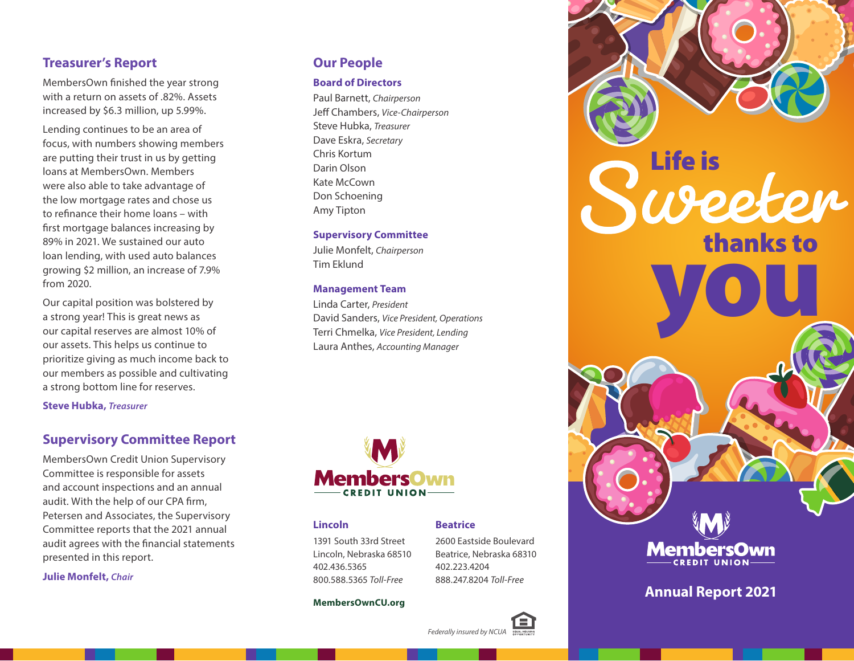## **Treasurer's Report**

MembersOwn finished the year strong with a return on assets of .82%. Assets increased by \$6.3 million, up 5.99%.

Lending continues to be an area of focus, with numbers showing members are putting their trust in us by getting loans at MembersOwn. Members were also able to take advantage of the low mortgage rates and chose us to refinance their home loans – with first mortgage balances increasing by 89% in 2021. We sustained our auto loan lending, with used auto balances growing \$2 million, an increase of 7.9% from 2020.

Our capital position was bolstered by a strong year! This is great news as our capital reserves are almost 10% of our assets. This helps us continue to prioritize giving as much income back to our members as possible and cultivating a strong bottom line for reserves.

**Steve Hubka,** *Treasurer*

### **Supervisory Committee Report**

MembersOwn Credit Union Supervisory Committee is responsible for assets and account inspections and an annual audit. With the help of our CPA firm, Petersen and Associates, the Supervisory Committee reports that the 2021 annual audit agrees with the financial statements presented in this report.

**Julie Monfelt,** *Chair*

### **Our People**

### **Board of Directors**

Paul Barnett, *Chairperson* Jeff Chambers, *Vice-Chairperson* Steve Hubka, *Treasurer* Dave Eskra, *Secretary* Chris Kortum Darin Olson Kate McCown Don Schoening Amy Tipton

#### **Supervisory Committee**

Julie Monfelt, *Chairperson* Tim Eklund

#### **Management Team**

Linda Carter, *President* David Sanders, *Vice President, Operations* Terri Chmelka, *Vice President, Lending* Laura Anthes, *Accounting Manager*



#### **Lincoln**

1391 South 33rd Street Lincoln, Nebraska 68510 402.436.5365 800.588.5365 *Toll-Free*

2600 Eastside Boulevard Beatrice, Nebraska 68310 402.223.4204 888.247.8204 *Toll-Free*

**Beatrice**

#### **MembersOwnCU.org**





# **Annual Report 2021**

*Federally insured by NCUA*